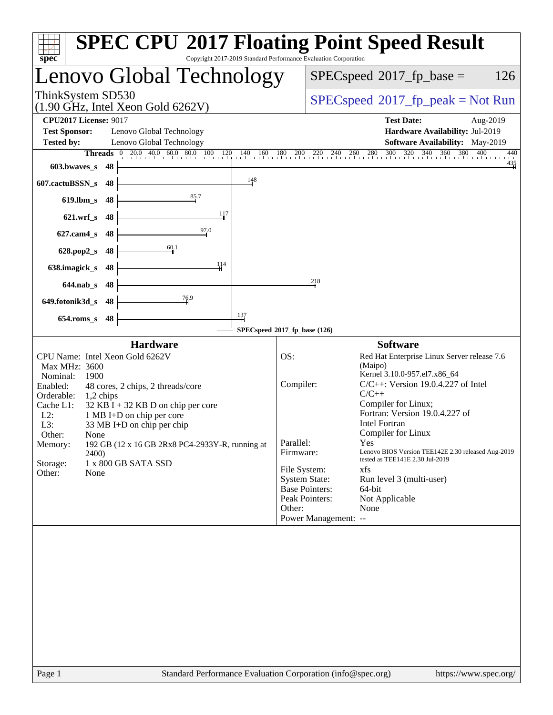| $spec^*$                                                                                                                                                                                                                                                                                                                                                                                                                                                                                                              | <b>SPEC CPU®2017 Floating Point Speed Result</b><br>Copyright 2017-2019 Standard Performance Evaluation Corporation                                                                                                                                                                                                                                                                                                                                                                                                                                                                                                                            |
|-----------------------------------------------------------------------------------------------------------------------------------------------------------------------------------------------------------------------------------------------------------------------------------------------------------------------------------------------------------------------------------------------------------------------------------------------------------------------------------------------------------------------|------------------------------------------------------------------------------------------------------------------------------------------------------------------------------------------------------------------------------------------------------------------------------------------------------------------------------------------------------------------------------------------------------------------------------------------------------------------------------------------------------------------------------------------------------------------------------------------------------------------------------------------------|
| Lenovo Global Technology                                                                                                                                                                                                                                                                                                                                                                                                                                                                                              | $SPEC speed^{\circ}2017$ _fp_base =<br>126                                                                                                                                                                                                                                                                                                                                                                                                                                                                                                                                                                                                     |
| ThinkSystem SD530<br>$(1.90 \text{ GHz}, \text{Intel Xeon Gold } 6262 \text{V})$                                                                                                                                                                                                                                                                                                                                                                                                                                      | $SPEC speed^{\circ}2017\_fp\_peak = Not Run$                                                                                                                                                                                                                                                                                                                                                                                                                                                                                                                                                                                                   |
| <b>CPU2017 License: 9017</b><br><b>Test Sponsor:</b><br>Lenovo Global Technology<br>Lenovo Global Technology<br><b>Tested by:</b><br><b>Threads</b> $\begin{bmatrix} 0 & 20.0 & 40.0 & 60.0 & 80.0 & 100 & 120 \end{bmatrix}$<br>$603.bwaves$ s<br>- 48<br>148<br>607.cactuBSSN_s<br>-48<br>85.7<br>$619$ .lbm_s<br>48<br>117<br>$621$ , wrf s<br>48<br>97.0<br>$627$ .cam $4$ <sub>S</sub><br>48<br>60.1<br>$628.pop2_s$<br>48<br>114<br>638.imagick_s<br>48<br>$644$ .nab s<br>-48<br>76.9<br>649.fotonik3d_s<br>48 | <b>Test Date:</b><br>Aug-2019<br>Hardware Availability: Jul-2019<br>Software Availability: May-2019<br>260 280 300 320 340 360 380 4<br>400<br>$140$ $160$ $180$ $200$ $220$<br>$^{240}$ .<br>440<br>$\frac{435}{4}$<br>218                                                                                                                                                                                                                                                                                                                                                                                                                    |
| $\frac{137}{4}$<br>$654$ .roms_s<br>48                                                                                                                                                                                                                                                                                                                                                                                                                                                                                |                                                                                                                                                                                                                                                                                                                                                                                                                                                                                                                                                                                                                                                |
| <b>Hardware</b><br>CPU Name: Intel Xeon Gold 6262V<br>Max MHz: 3600<br>Nominal:<br>1900<br>Enabled:<br>48 cores, 2 chips, 2 threads/core<br>Orderable:<br>$1,2$ chips<br>Cache L1:<br>$32$ KB I + 32 KB D on chip per core<br>$L2$ :<br>1 MB I+D on chip per core<br>L3:<br>33 MB I+D on chip per chip<br>Other:<br>None<br>192 GB (12 x 16 GB 2Rx8 PC4-2933Y-R, running at<br>Memory:<br><b>2400</b> )<br>Storage:<br>1 x 800 GB SATA SSD<br>Other:<br>None                                                          | SPECspeed®2017_fp_base (126)<br><b>Software</b><br>Red Hat Enterprise Linux Server release 7.6<br>OS:<br>(Maipo)<br>Kernel 3.10.0-957.el7.x86_64<br>$C/C++$ : Version 19.0.4.227 of Intel<br>Compiler:<br>$C/C++$<br>Compiler for Linux;<br>Fortran: Version 19.0.4.227 of<br><b>Intel Fortran</b><br>Compiler for Linux<br>Parallel:<br>Yes<br>Firmware:<br>Lenovo BIOS Version TEE142E 2.30 released Aug-2019<br>tested as TEE141E 2.30 Jul-2019<br>File System:<br>xfs<br><b>System State:</b><br>Run level 3 (multi-user)<br><b>Base Pointers:</b><br>64-bit<br>Peak Pointers:<br>Not Applicable<br>Other:<br>None<br>Power Management: -- |
|                                                                                                                                                                                                                                                                                                                                                                                                                                                                                                                       |                                                                                                                                                                                                                                                                                                                                                                                                                                                                                                                                                                                                                                                |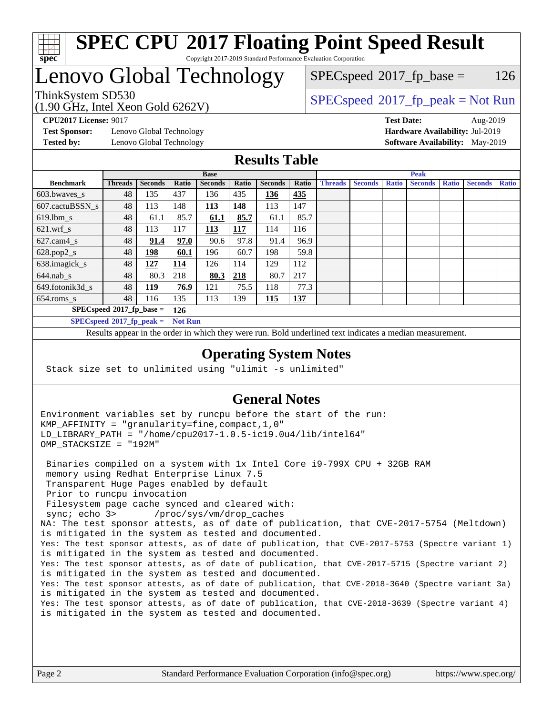

### **[SPEC CPU](http://www.spec.org/auto/cpu2017/Docs/result-fields.html#SPECCPU2017FloatingPointSpeedResult)[2017 Floating Point Speed Result](http://www.spec.org/auto/cpu2017/Docs/result-fields.html#SPECCPU2017FloatingPointSpeedResult)** Copyright 2017-2019 Standard Performance Evaluation Corporation

# Lenovo Global Technology

(1.90 GHz, Intel Xeon Gold 6262V)

 $SPEC speed^{\circ}2017\_fp\_base = 126$ 

# ThinkSystem SD530  $SPECspeed^{\circ}2017_fp\_peak = Not Run$  $SPECspeed^{\circ}2017_fp\_peak = Not Run$

**[Test Sponsor:](http://www.spec.org/auto/cpu2017/Docs/result-fields.html#TestSponsor)** Lenovo Global Technology **[Hardware Availability:](http://www.spec.org/auto/cpu2017/Docs/result-fields.html#HardwareAvailability)** Jul-2019 **[Tested by:](http://www.spec.org/auto/cpu2017/Docs/result-fields.html#Testedby)** Lenovo Global Technology **[Software Availability:](http://www.spec.org/auto/cpu2017/Docs/result-fields.html#SoftwareAvailability)** May-2019

**[CPU2017 License:](http://www.spec.org/auto/cpu2017/Docs/result-fields.html#CPU2017License)** 9017 **[Test Date:](http://www.spec.org/auto/cpu2017/Docs/result-fields.html#TestDate)** Aug-2019

### **[Results Table](http://www.spec.org/auto/cpu2017/Docs/result-fields.html#ResultsTable)**

|                                    | <b>Base</b>                 |                |                |                |       |                | <b>Peak</b> |                |                |              |                |              |                |              |
|------------------------------------|-----------------------------|----------------|----------------|----------------|-------|----------------|-------------|----------------|----------------|--------------|----------------|--------------|----------------|--------------|
| <b>Benchmark</b>                   | <b>Threads</b>              | <b>Seconds</b> | Ratio          | <b>Seconds</b> | Ratio | <b>Seconds</b> | Ratio       | <b>Threads</b> | <b>Seconds</b> | <b>Ratio</b> | <b>Seconds</b> | <b>Ratio</b> | <b>Seconds</b> | <b>Ratio</b> |
| 603.bwayes s                       | 48                          | 135            | 437            | 136            | 435   | 136            | 435         |                |                |              |                |              |                |              |
| 607.cactuBSSN s                    | 48                          | 113            | 148            | 113            | 148   | 113            | 147         |                |                |              |                |              |                |              |
| $619.$ lbm s                       | 48                          | 61.1           | 85.7           | 61.1           | 85.7  | 61.1           | 85.7        |                |                |              |                |              |                |              |
| $621.wrf$ s                        | 48                          | 113            | 117            | 113            | 117   | 114            | 116         |                |                |              |                |              |                |              |
| $627$ .cam4 s                      | 48                          | 91.4           | 97.0           | 90.6           | 97.8  | 91.4           | 96.9        |                |                |              |                |              |                |              |
| $628.pop2_s$                       | 48                          | <u>198</u>     | 60.1           | 196            | 60.7  | 198            | 59.8        |                |                |              |                |              |                |              |
| 638.imagick_s                      | 48                          | 127            | 114            | 126            | 114   | 129            | 112         |                |                |              |                |              |                |              |
| $644$ .nab s                       | 48                          | 80.3           | 218            | 80.3           | 218   | 80.7           | 217         |                |                |              |                |              |                |              |
| 649.fotonik3d s                    | 48                          | <u> 119</u>    | 76.9           | 121            | 75.5  | 118            | 77.3        |                |                |              |                |              |                |              |
| $654$ .roms s                      | 48                          | 116            | 135            | 113            | 139   | <b>115</b>     | <u>137</u>  |                |                |              |                |              |                |              |
| $SPECspeed*2017_fp\_base =$<br>126 |                             |                |                |                |       |                |             |                |                |              |                |              |                |              |
|                                    | $SPECspeed*2017_fp\_peak =$ |                | <b>Not Run</b> |                |       |                |             |                |                |              |                |              |                |              |

Results appear in the [order in which they were run.](http://www.spec.org/auto/cpu2017/Docs/result-fields.html#RunOrder) Bold underlined text [indicates a median measurement](http://www.spec.org/auto/cpu2017/Docs/result-fields.html#Median).

### **[Operating System Notes](http://www.spec.org/auto/cpu2017/Docs/result-fields.html#OperatingSystemNotes)**

Stack size set to unlimited using "ulimit -s unlimited"

## **[General Notes](http://www.spec.org/auto/cpu2017/Docs/result-fields.html#GeneralNotes)**

Environment variables set by runcpu before the start of the run: KMP\_AFFINITY = "granularity=fine,compact,1,0" LD\_LIBRARY\_PATH = "/home/cpu2017-1.0.5-ic19.0u4/lib/intel64" OMP\_STACKSIZE = "192M"

 Binaries compiled on a system with 1x Intel Core i9-799X CPU + 32GB RAM memory using Redhat Enterprise Linux 7.5 Transparent Huge Pages enabled by default Prior to runcpu invocation Filesystem page cache synced and cleared with: sync; echo 3> /proc/sys/vm/drop\_caches NA: The test sponsor attests, as of date of publication, that CVE-2017-5754 (Meltdown) is mitigated in the system as tested and documented. Yes: The test sponsor attests, as of date of publication, that CVE-2017-5753 (Spectre variant 1) is mitigated in the system as tested and documented. Yes: The test sponsor attests, as of date of publication, that CVE-2017-5715 (Spectre variant 2) is mitigated in the system as tested and documented. Yes: The test sponsor attests, as of date of publication, that CVE-2018-3640 (Spectre variant 3a) is mitigated in the system as tested and documented. Yes: The test sponsor attests, as of date of publication, that CVE-2018-3639 (Spectre variant 4) is mitigated in the system as tested and documented.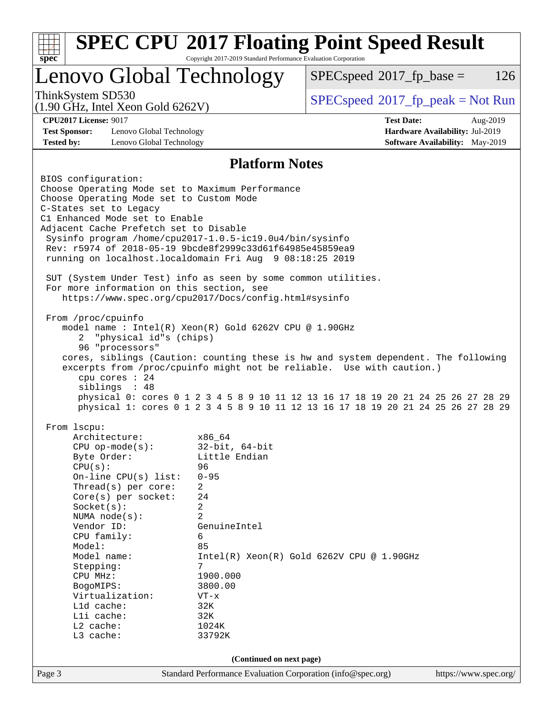| $spec^*$                                                                         | Copyright 2017-2019 Standard Performance Evaluation Corporation |                                                                                    |                                 |          |
|----------------------------------------------------------------------------------|-----------------------------------------------------------------|------------------------------------------------------------------------------------|---------------------------------|----------|
| Lenovo Global Technology                                                         |                                                                 | $SPEC speed^{\circ}2017$ _fp_base =                                                |                                 | 126      |
| ThinkSystem SD530<br>$(1.90 \text{ GHz}, \text{Intel Xeon Gold } 6262 \text{V})$ |                                                                 | $SPEC speed^{\circ}2017\_fp\_peak = Not Run$                                       |                                 |          |
| <b>CPU2017 License: 9017</b>                                                     |                                                                 | <b>Test Date:</b>                                                                  |                                 | Aug-2019 |
| <b>Test Sponsor:</b><br>Lenovo Global Technology                                 |                                                                 |                                                                                    | Hardware Availability: Jul-2019 |          |
| <b>Tested by:</b><br>Lenovo Global Technology                                    |                                                                 |                                                                                    | Software Availability: May-2019 |          |
|                                                                                  | <b>Platform Notes</b>                                           |                                                                                    |                                 |          |
| BIOS configuration:                                                              |                                                                 |                                                                                    |                                 |          |
| Choose Operating Mode set to Maximum Performance                                 |                                                                 |                                                                                    |                                 |          |
| Choose Operating Mode set to Custom Mode<br>C-States set to Legacy               |                                                                 |                                                                                    |                                 |          |
| C1 Enhanced Mode set to Enable                                                   |                                                                 |                                                                                    |                                 |          |
| Adjacent Cache Prefetch set to Disable                                           |                                                                 |                                                                                    |                                 |          |
| Sysinfo program /home/cpu2017-1.0.5-ic19.0u4/bin/sysinfo                         |                                                                 |                                                                                    |                                 |          |
| Rev: r5974 of 2018-05-19 9bcde8f2999c33d61f64985e45859ea9                        |                                                                 |                                                                                    |                                 |          |
| running on localhost.localdomain Fri Aug 9 08:18:25 2019                         |                                                                 |                                                                                    |                                 |          |
| SUT (System Under Test) info as seen by some common utilities.                   |                                                                 |                                                                                    |                                 |          |
| For more information on this section, see                                        |                                                                 |                                                                                    |                                 |          |
|                                                                                  | https://www.spec.org/cpu2017/Docs/config.html#sysinfo           |                                                                                    |                                 |          |
|                                                                                  |                                                                 |                                                                                    |                                 |          |
| From /proc/cpuinfo                                                               | model name: $Intel(R)$ Xeon(R) Gold 6262V CPU @ 1.90GHz         |                                                                                    |                                 |          |
| "physical id"s (chips)<br>2                                                      |                                                                 |                                                                                    |                                 |          |
| 96 "processors"                                                                  |                                                                 |                                                                                    |                                 |          |
|                                                                                  |                                                                 |                                                                                    |                                 |          |
|                                                                                  |                                                                 | cores, siblings (Caution: counting these is hw and system dependent. The following |                                 |          |
|                                                                                  |                                                                 | excerpts from /proc/cpuinfo might not be reliable. Use with caution.)              |                                 |          |
| cpu cores $: 24$                                                                 |                                                                 |                                                                                    |                                 |          |
| siblings : 48                                                                    |                                                                 | physical 0: cores 0 1 2 3 4 5 8 9 10 11 12 13 16 17 18 19 20 21 24 25 26 27 28 29  |                                 |          |
|                                                                                  |                                                                 | physical 1: cores 0 1 2 3 4 5 8 9 10 11 12 13 16 17 18 19 20 21 24 25 26 27 28 29  |                                 |          |
|                                                                                  |                                                                 |                                                                                    |                                 |          |
| From lscpu:                                                                      |                                                                 |                                                                                    |                                 |          |
| Architecture:<br>$CPU$ op-mode( $s$ ):                                           | x86_64<br>$32$ -bit, $64$ -bit                                  |                                                                                    |                                 |          |
| Byte Order:                                                                      | Little Endian                                                   |                                                                                    |                                 |          |
| CPU(s):                                                                          | 96                                                              |                                                                                    |                                 |          |
| On-line CPU(s) list:                                                             | $0 - 95$                                                        |                                                                                    |                                 |          |
| Thread(s) per core:                                                              | 2                                                               |                                                                                    |                                 |          |
| Core(s) per socket:<br>Socket(s):                                                | 24<br>2                                                         |                                                                                    |                                 |          |
| NUMA $node(s)$ :                                                                 | $\overline{a}$                                                  |                                                                                    |                                 |          |
| Vendor ID:                                                                       | GenuineIntel                                                    |                                                                                    |                                 |          |
| CPU family:                                                                      | 6                                                               |                                                                                    |                                 |          |
| Model:                                                                           | 85                                                              |                                                                                    |                                 |          |
| Model name:                                                                      | 7                                                               | $Intel(R) Xeon(R) Gold 6262V CPU @ 1.90GHz$                                        |                                 |          |
| Stepping:<br>CPU MHz:                                                            | 1900.000                                                        |                                                                                    |                                 |          |
| BogoMIPS:                                                                        | 3800.00                                                         |                                                                                    |                                 |          |
| Virtualization:                                                                  | $VT - x$                                                        |                                                                                    |                                 |          |
| L1d cache:                                                                       | 32K                                                             |                                                                                    |                                 |          |
| Lli cache:                                                                       | 32K                                                             |                                                                                    |                                 |          |
| $L2$ cache:<br>L3 cache:                                                         | 1024K<br>33792K                                                 |                                                                                    |                                 |          |
|                                                                                  |                                                                 |                                                                                    |                                 |          |
|                                                                                  | (Continued on next page)                                        |                                                                                    |                                 |          |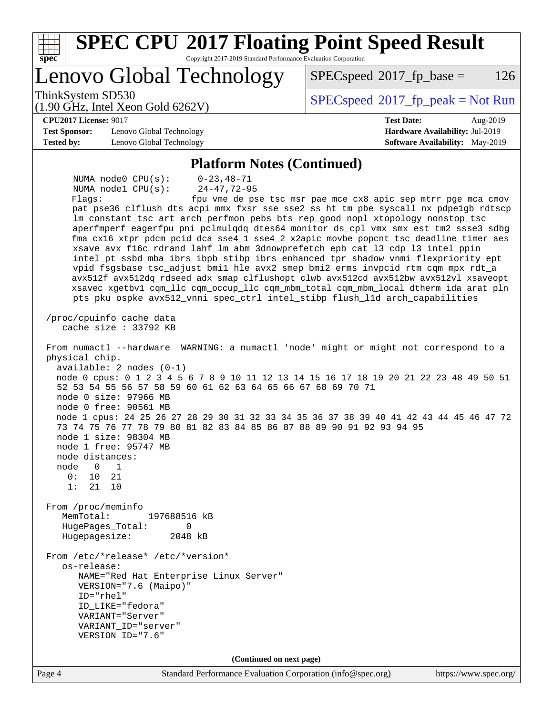| <b>SPEC CPU®2017 Floating Point Speed Result</b><br>Copyright 2017-2019 Standard Performance Evaluation Corporation                                                                                                                                                                                                                                                                                                                                                                                                                                                                                                                                                                                                                                                                                                                                                                                                                                                                                                                                                                                                                                                                                                                                                                                                                                                                                                                                                                                                                                                                                                                                                                                                                                                                                                                                                                                                                                                                                                                   |                                                               |
|---------------------------------------------------------------------------------------------------------------------------------------------------------------------------------------------------------------------------------------------------------------------------------------------------------------------------------------------------------------------------------------------------------------------------------------------------------------------------------------------------------------------------------------------------------------------------------------------------------------------------------------------------------------------------------------------------------------------------------------------------------------------------------------------------------------------------------------------------------------------------------------------------------------------------------------------------------------------------------------------------------------------------------------------------------------------------------------------------------------------------------------------------------------------------------------------------------------------------------------------------------------------------------------------------------------------------------------------------------------------------------------------------------------------------------------------------------------------------------------------------------------------------------------------------------------------------------------------------------------------------------------------------------------------------------------------------------------------------------------------------------------------------------------------------------------------------------------------------------------------------------------------------------------------------------------------------------------------------------------------------------------------------------------|---------------------------------------------------------------|
| spec <sup>®</sup><br>Lenovo Global Technology                                                                                                                                                                                                                                                                                                                                                                                                                                                                                                                                                                                                                                                                                                                                                                                                                                                                                                                                                                                                                                                                                                                                                                                                                                                                                                                                                                                                                                                                                                                                                                                                                                                                                                                                                                                                                                                                                                                                                                                         | 126<br>$SPEC speed^{\circ}2017\_fp\_base =$                   |
| ThinkSystem SD530<br>$(1.90 \text{ GHz}, \text{Intel Xeon Gold } 6262 \text{V})$                                                                                                                                                                                                                                                                                                                                                                                                                                                                                                                                                                                                                                                                                                                                                                                                                                                                                                                                                                                                                                                                                                                                                                                                                                                                                                                                                                                                                                                                                                                                                                                                                                                                                                                                                                                                                                                                                                                                                      | $SPEC speed@2017_fp\_peak = Not Run$                          |
| <b>CPU2017 License: 9017</b>                                                                                                                                                                                                                                                                                                                                                                                                                                                                                                                                                                                                                                                                                                                                                                                                                                                                                                                                                                                                                                                                                                                                                                                                                                                                                                                                                                                                                                                                                                                                                                                                                                                                                                                                                                                                                                                                                                                                                                                                          | <b>Test Date:</b><br>Aug-2019                                 |
| <b>Test Sponsor:</b><br>Lenovo Global Technology                                                                                                                                                                                                                                                                                                                                                                                                                                                                                                                                                                                                                                                                                                                                                                                                                                                                                                                                                                                                                                                                                                                                                                                                                                                                                                                                                                                                                                                                                                                                                                                                                                                                                                                                                                                                                                                                                                                                                                                      | Hardware Availability: Jul-2019                               |
| <b>Tested by:</b><br>Lenovo Global Technology                                                                                                                                                                                                                                                                                                                                                                                                                                                                                                                                                                                                                                                                                                                                                                                                                                                                                                                                                                                                                                                                                                                                                                                                                                                                                                                                                                                                                                                                                                                                                                                                                                                                                                                                                                                                                                                                                                                                                                                         | Software Availability: May-2019                               |
| <b>Platform Notes (Continued)</b>                                                                                                                                                                                                                                                                                                                                                                                                                                                                                                                                                                                                                                                                                                                                                                                                                                                                                                                                                                                                                                                                                                                                                                                                                                                                                                                                                                                                                                                                                                                                                                                                                                                                                                                                                                                                                                                                                                                                                                                                     |                                                               |
| NUMA $node0$ $CPU(s)$ :<br>$0 - 23, 48 - 71$<br>$24 - 47, 72 - 95$<br>NUMA $node1$ $CPU(s):$<br>Flagg:<br>pat pse36 clflush dts acpi mmx fxsr sse sse2 ss ht tm pbe syscall nx pdpe1gb rdtscp<br>lm constant_tsc art arch_perfmon pebs bts rep_good nopl xtopology nonstop_tsc<br>aperfmperf eagerfpu pni pclmulqdq dtes64 monitor ds_cpl vmx smx est tm2 ssse3 sdbg<br>fma cx16 xtpr pdcm pcid dca sse4_1 sse4_2 x2apic movbe popcnt tsc_deadline_timer aes<br>xsave avx f16c rdrand lahf_lm abm 3dnowprefetch epb cat_13 cdp_13 intel_ppin<br>intel_pt ssbd mba ibrs ibpb stibp ibrs_enhanced tpr_shadow vnmi flexpriority ept<br>vpid fsgsbase tsc_adjust bmil hle avx2 smep bmi2 erms invpcid rtm cqm mpx rdt_a<br>avx512f avx512dq rdseed adx smap clflushopt clwb avx512cd avx512bw avx512vl xsaveopt<br>xsavec xgetbv1 cqm_llc cqm_occup_llc cqm_mbm_total cqm_mbm_local dtherm ida arat pln<br>pts pku ospke avx512_vnni spec_ctrl intel_stibp flush_lld arch_capabilities<br>/proc/cpuinfo cache data<br>cache size : 33792 KB<br>From numactl --hardware WARNING: a numactl 'node' might or might not correspond to a<br>physical chip.<br>$available: 2 nodes (0-1)$<br>node 0 cpus: 0 1 2 3 4 5 6 7 8 9 10 11 12 13 14 15 16 17 18 19 20 21 22 23 48 49 50 51<br>52 53 54 55 56 57 58 59 60 61 62 63 64 65 66 67 68 69 70 71<br>node 0 size: 97966 MB<br>node 0 free: 90561 MB<br>node 1 cpus: 24 25 26 27 28 29 30 31 32 33 34 35 36 37 38 39 40 41 42 43 44 45 46 47 72<br>73 74 75 76 77 78 79 80 81 82 83 84 85 86 87 88 89 90 91 92 93 94 95<br>node 1 size: 98304 MB<br>node 1 free: 95747 MB<br>node distances:<br>$\Omega$<br>node<br>1<br>0: 10 21<br>1:<br>21<br>10<br>From /proc/meminfo<br>MemTotal:<br>197688516 kB<br>HugePages_Total:<br>$\mathbf 0$<br>Hugepagesize:<br>2048 kB<br>From /etc/*release* /etc/*version*<br>os-release:<br>NAME="Red Hat Enterprise Linux Server"<br>VERSION="7.6 (Maipo)"<br>$ID="rhe1"$<br>ID_LIKE="fedora"<br>VARIANT="Server"<br>VARIANT_ID="server"<br>VERSION_ID="7.6" | fpu vme de pse tsc msr pae mce cx8 apic sep mtrr pge mca cmov |
| (Continued on next page)                                                                                                                                                                                                                                                                                                                                                                                                                                                                                                                                                                                                                                                                                                                                                                                                                                                                                                                                                                                                                                                                                                                                                                                                                                                                                                                                                                                                                                                                                                                                                                                                                                                                                                                                                                                                                                                                                                                                                                                                              |                                                               |
| Standard Performance Evaluation Corporation (info@spec.org)<br>Page 4                                                                                                                                                                                                                                                                                                                                                                                                                                                                                                                                                                                                                                                                                                                                                                                                                                                                                                                                                                                                                                                                                                                                                                                                                                                                                                                                                                                                                                                                                                                                                                                                                                                                                                                                                                                                                                                                                                                                                                 | https://www.spec.org/                                         |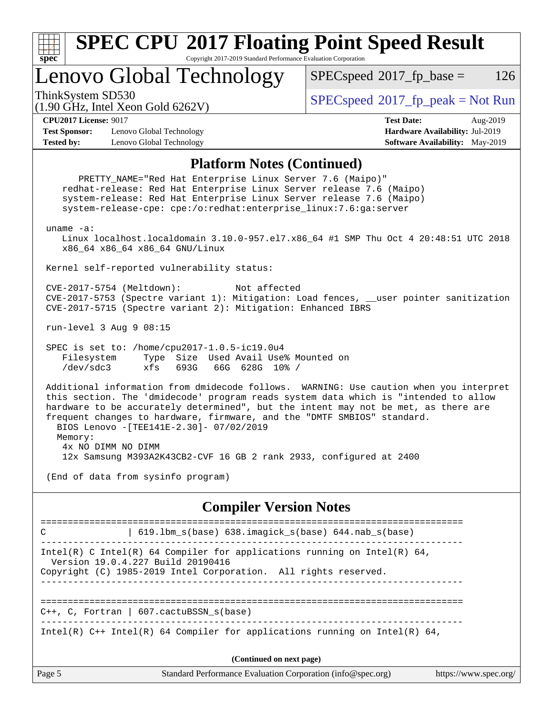

### **[SPEC CPU](http://www.spec.org/auto/cpu2017/Docs/result-fields.html#SPECCPU2017FloatingPointSpeedResult)[2017 Floating Point Speed Result](http://www.spec.org/auto/cpu2017/Docs/result-fields.html#SPECCPU2017FloatingPointSpeedResult)** Copyright 2017-2019 Standard Performance Evaluation Corporation

Lenovo Global Technology

 $SPECspeed^{\circledcirc}2017_fp\_base = 126$  $SPECspeed^{\circledcirc}2017_fp\_base = 126$ 

(1.90 GHz, Intel Xeon Gold 6262V)

ThinkSystem SD530  $SPECspeed^{\circ}2017$  $SPECspeed^{\circ}2017$ \_fp\_peak = Not Run

**[CPU2017 License:](http://www.spec.org/auto/cpu2017/Docs/result-fields.html#CPU2017License)** 9017 **[Test Date:](http://www.spec.org/auto/cpu2017/Docs/result-fields.html#TestDate)** Aug-2019

**[Test Sponsor:](http://www.spec.org/auto/cpu2017/Docs/result-fields.html#TestSponsor)** Lenovo Global Technology **[Hardware Availability:](http://www.spec.org/auto/cpu2017/Docs/result-fields.html#HardwareAvailability)** Jul-2019 **[Tested by:](http://www.spec.org/auto/cpu2017/Docs/result-fields.html#Testedby)** Lenovo Global Technology **[Software Availability:](http://www.spec.org/auto/cpu2017/Docs/result-fields.html#SoftwareAvailability)** May-2019

### **[Platform Notes \(Continued\)](http://www.spec.org/auto/cpu2017/Docs/result-fields.html#PlatformNotes)**

Page 5 Standard Performance Evaluation Corporation [\(info@spec.org\)](mailto:info@spec.org) <https://www.spec.org/> PRETTY\_NAME="Red Hat Enterprise Linux Server 7.6 (Maipo)" redhat-release: Red Hat Enterprise Linux Server release 7.6 (Maipo) system-release: Red Hat Enterprise Linux Server release 7.6 (Maipo) system-release-cpe: cpe:/o:redhat:enterprise\_linux:7.6:ga:server uname -a: Linux localhost.localdomain 3.10.0-957.el7.x86\_64 #1 SMP Thu Oct 4 20:48:51 UTC 2018 x86\_64 x86\_64 x86\_64 GNU/Linux Kernel self-reported vulnerability status: CVE-2017-5754 (Meltdown): Not affected CVE-2017-5753 (Spectre variant 1): Mitigation: Load fences, \_\_user pointer sanitization CVE-2017-5715 (Spectre variant 2): Mitigation: Enhanced IBRS run-level 3 Aug 9 08:15 SPEC is set to: /home/cpu2017-1.0.5-ic19.0u4 Filesystem Type Size Used Avail Use% Mounted on /dev/sdc3 xfs 693G 66G 628G 10% / Additional information from dmidecode follows. WARNING: Use caution when you interpret this section. The 'dmidecode' program reads system data which is "intended to allow hardware to be accurately determined", but the intent may not be met, as there are frequent changes to hardware, firmware, and the "DMTF SMBIOS" standard. BIOS Lenovo -[TEE141E-2.30]- 07/02/2019 Memory: 4x NO DIMM NO DIMM 12x Samsung M393A2K43CB2-CVF 16 GB 2 rank 2933, configured at 2400 (End of data from sysinfo program) **[Compiler Version Notes](http://www.spec.org/auto/cpu2017/Docs/result-fields.html#CompilerVersionNotes)** ============================================================================== C | 619.1bm\_s(base) 638.imagick\_s(base) 644.nab s(base) ------------------------------------------------------------------------------ Intel(R) C Intel(R) 64 Compiler for applications running on Intel(R)  $64$ , Version 19.0.4.227 Build 20190416 Copyright (C) 1985-2019 Intel Corporation. All rights reserved. ------------------------------------------------------------------------------ ============================================================================== C++, C, Fortran | 607.cactuBSSN\_s(base) ------------------------------------------------------------------------------ Intel(R)  $C++$  Intel(R) 64 Compiler for applications running on Intel(R) 64, **(Continued on next page)**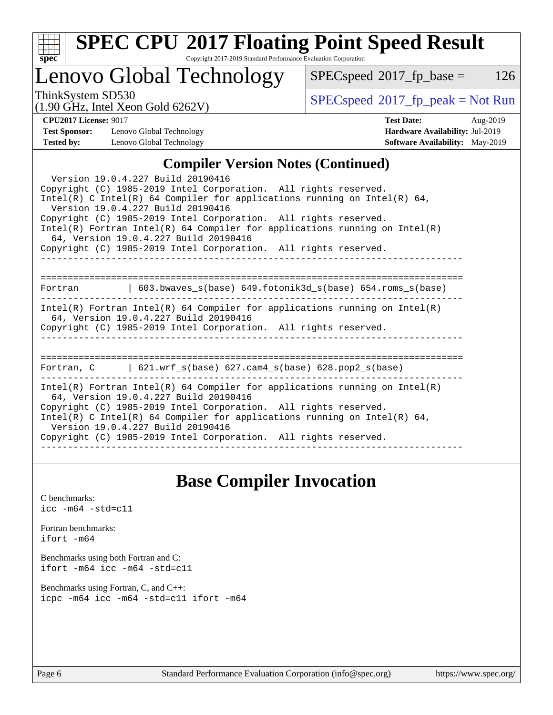| c<br>е |  |  |  |  |
|--------|--|--|--|--|

# **[SPEC CPU](http://www.spec.org/auto/cpu2017/Docs/result-fields.html#SPECCPU2017FloatingPointSpeedResult)[2017 Floating Point Speed Result](http://www.spec.org/auto/cpu2017/Docs/result-fields.html#SPECCPU2017FloatingPointSpeedResult)**

Copyright 2017-2019 Standard Performance Evaluation Corporation

# Lenovo Global Technology

 $SPECspeed^{\circ}2017_fp\_base = 126$  $SPECspeed^{\circ}2017_fp\_base = 126$ 

(1.90 GHz, Intel Xeon Gold 6262V)

 $SPECspeed^{\circ}2017_fp\_peak = Not Run$  $SPECspeed^{\circ}2017_fp\_peak = Not Run$ 

**[Test Sponsor:](http://www.spec.org/auto/cpu2017/Docs/result-fields.html#TestSponsor)** Lenovo Global Technology **[Hardware Availability:](http://www.spec.org/auto/cpu2017/Docs/result-fields.html#HardwareAvailability)** Jul-2019 **[Tested by:](http://www.spec.org/auto/cpu2017/Docs/result-fields.html#Testedby)** Lenovo Global Technology **[Software Availability:](http://www.spec.org/auto/cpu2017/Docs/result-fields.html#SoftwareAvailability)** May-2019

**[CPU2017 License:](http://www.spec.org/auto/cpu2017/Docs/result-fields.html#CPU2017License)** 9017 **[Test Date:](http://www.spec.org/auto/cpu2017/Docs/result-fields.html#TestDate)** Aug-2019

## **[Compiler Version Notes \(Continued\)](http://www.spec.org/auto/cpu2017/Docs/result-fields.html#CompilerVersionNotes)**

| Version 19.0.4.227 Build 20190416<br>Copyright (C) 1985-2019 Intel Corporation. All rights reserved.<br>Intel(R) C Intel(R) 64 Compiler for applications running on Intel(R) 64,<br>Version 19.0.4.227 Build 20190416<br>Copyright (C) 1985-2019 Intel Corporation. All rights reserved.<br>$Intel(R)$ Fortran Intel(R) 64 Compiler for applications running on Intel(R)<br>64, Version 19.0.4.227 Build 20190416<br>Copyright (C) 1985-2019 Intel Corporation. All rights reserved. |  |  |  |  |  |
|--------------------------------------------------------------------------------------------------------------------------------------------------------------------------------------------------------------------------------------------------------------------------------------------------------------------------------------------------------------------------------------------------------------------------------------------------------------------------------------|--|--|--|--|--|
| Fortran 		   603.bwaves_s(base) 649.fotonik3d_s(base) 654.roms_s(base)                                                                                                                                                                                                                                                                                                                                                                                                               |  |  |  |  |  |
| $Intel(R)$ Fortran Intel(R) 64 Compiler for applications running on Intel(R)<br>64, Version 19.0.4.227 Build 20190416<br>Copyright (C) 1985-2019 Intel Corporation. All rights reserved.                                                                                                                                                                                                                                                                                             |  |  |  |  |  |
| Fortran, C $\vert$ 621.wrf s(base) 627.cam4 s(base) 628.pop2 s(base)                                                                                                                                                                                                                                                                                                                                                                                                                 |  |  |  |  |  |
| $Intel(R)$ Fortran Intel(R) 64 Compiler for applications running on Intel(R)<br>64, Version 19.0.4.227 Build 20190416<br>Copyright (C) 1985-2019 Intel Corporation. All rights reserved.<br>Intel(R) C Intel(R) 64 Compiler for applications running on Intel(R) 64,<br>Version 19.0.4.227 Build 20190416<br>Copyright (C) 1985-2019 Intel Corporation. All rights reserved.                                                                                                         |  |  |  |  |  |

## **[Base Compiler Invocation](http://www.spec.org/auto/cpu2017/Docs/result-fields.html#BaseCompilerInvocation)**

[C benchmarks](http://www.spec.org/auto/cpu2017/Docs/result-fields.html#Cbenchmarks): [icc -m64 -std=c11](http://www.spec.org/cpu2017/results/res2019q3/cpu2017-20190903-17616.flags.html#user_CCbase_intel_icc_64bit_c11_33ee0cdaae7deeeab2a9725423ba97205ce30f63b9926c2519791662299b76a0318f32ddfffdc46587804de3178b4f9328c46fa7c2b0cd779d7a61945c91cd35)

[Fortran benchmarks](http://www.spec.org/auto/cpu2017/Docs/result-fields.html#Fortranbenchmarks): [ifort -m64](http://www.spec.org/cpu2017/results/res2019q3/cpu2017-20190903-17616.flags.html#user_FCbase_intel_ifort_64bit_24f2bb282fbaeffd6157abe4f878425411749daecae9a33200eee2bee2fe76f3b89351d69a8130dd5949958ce389cf37ff59a95e7a40d588e8d3a57e0c3fd751)

[Benchmarks using both Fortran and C](http://www.spec.org/auto/cpu2017/Docs/result-fields.html#BenchmarksusingbothFortranandC): [ifort -m64](http://www.spec.org/cpu2017/results/res2019q3/cpu2017-20190903-17616.flags.html#user_CC_FCbase_intel_ifort_64bit_24f2bb282fbaeffd6157abe4f878425411749daecae9a33200eee2bee2fe76f3b89351d69a8130dd5949958ce389cf37ff59a95e7a40d588e8d3a57e0c3fd751) [icc -m64 -std=c11](http://www.spec.org/cpu2017/results/res2019q3/cpu2017-20190903-17616.flags.html#user_CC_FCbase_intel_icc_64bit_c11_33ee0cdaae7deeeab2a9725423ba97205ce30f63b9926c2519791662299b76a0318f32ddfffdc46587804de3178b4f9328c46fa7c2b0cd779d7a61945c91cd35)

[Benchmarks using Fortran, C, and C++:](http://www.spec.org/auto/cpu2017/Docs/result-fields.html#BenchmarksusingFortranCandCXX) [icpc -m64](http://www.spec.org/cpu2017/results/res2019q3/cpu2017-20190903-17616.flags.html#user_CC_CXX_FCbase_intel_icpc_64bit_4ecb2543ae3f1412ef961e0650ca070fec7b7afdcd6ed48761b84423119d1bf6bdf5cad15b44d48e7256388bc77273b966e5eb805aefd121eb22e9299b2ec9d9) [icc -m64 -std=c11](http://www.spec.org/cpu2017/results/res2019q3/cpu2017-20190903-17616.flags.html#user_CC_CXX_FCbase_intel_icc_64bit_c11_33ee0cdaae7deeeab2a9725423ba97205ce30f63b9926c2519791662299b76a0318f32ddfffdc46587804de3178b4f9328c46fa7c2b0cd779d7a61945c91cd35) [ifort -m64](http://www.spec.org/cpu2017/results/res2019q3/cpu2017-20190903-17616.flags.html#user_CC_CXX_FCbase_intel_ifort_64bit_24f2bb282fbaeffd6157abe4f878425411749daecae9a33200eee2bee2fe76f3b89351d69a8130dd5949958ce389cf37ff59a95e7a40d588e8d3a57e0c3fd751)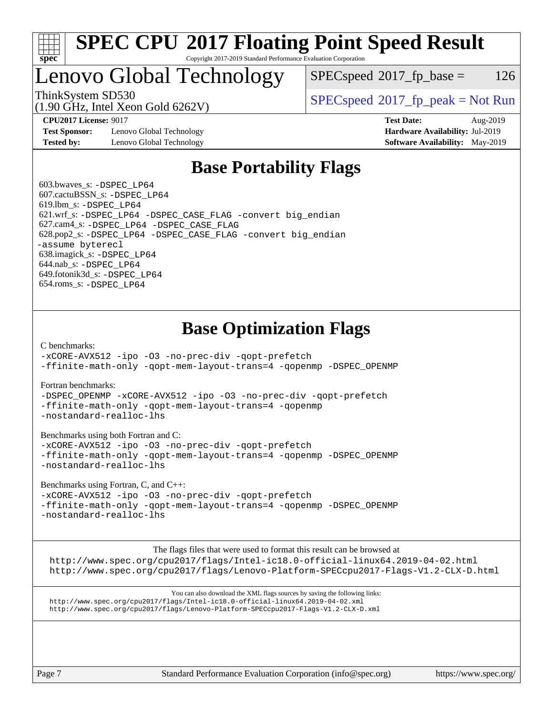

### **[SPEC CPU](http://www.spec.org/auto/cpu2017/Docs/result-fields.html#SPECCPU2017FloatingPointSpeedResult)[2017 Floating Point Speed Result](http://www.spec.org/auto/cpu2017/Docs/result-fields.html#SPECCPU2017FloatingPointSpeedResult)** Copyright 2017-2019 Standard Performance Evaluation Corporation

# Lenovo Global Technology

 $SPEC speed^{\circ}2017\_fp\_base = 126$ 

(1.90 GHz, Intel Xeon Gold 6262V)

ThinkSystem SD530  $SPECspeed^{\circ}2017_fp\_peak = Not Run$  $SPECspeed^{\circ}2017_fp\_peak = Not Run$ 

**[Test Sponsor:](http://www.spec.org/auto/cpu2017/Docs/result-fields.html#TestSponsor)** Lenovo Global Technology **[Hardware Availability:](http://www.spec.org/auto/cpu2017/Docs/result-fields.html#HardwareAvailability)** Jul-2019 **[Tested by:](http://www.spec.org/auto/cpu2017/Docs/result-fields.html#Testedby)** Lenovo Global Technology **[Software Availability:](http://www.spec.org/auto/cpu2017/Docs/result-fields.html#SoftwareAvailability)** May-2019

**[CPU2017 License:](http://www.spec.org/auto/cpu2017/Docs/result-fields.html#CPU2017License)** 9017 **[Test Date:](http://www.spec.org/auto/cpu2017/Docs/result-fields.html#TestDate)** Aug-2019

# **[Base Portability Flags](http://www.spec.org/auto/cpu2017/Docs/result-fields.html#BasePortabilityFlags)**

 603.bwaves\_s: [-DSPEC\\_LP64](http://www.spec.org/cpu2017/results/res2019q3/cpu2017-20190903-17616.flags.html#suite_basePORTABILITY603_bwaves_s_DSPEC_LP64) 607.cactuBSSN\_s: [-DSPEC\\_LP64](http://www.spec.org/cpu2017/results/res2019q3/cpu2017-20190903-17616.flags.html#suite_basePORTABILITY607_cactuBSSN_s_DSPEC_LP64) 619.lbm\_s: [-DSPEC\\_LP64](http://www.spec.org/cpu2017/results/res2019q3/cpu2017-20190903-17616.flags.html#suite_basePORTABILITY619_lbm_s_DSPEC_LP64) 621.wrf\_s: [-DSPEC\\_LP64](http://www.spec.org/cpu2017/results/res2019q3/cpu2017-20190903-17616.flags.html#suite_basePORTABILITY621_wrf_s_DSPEC_LP64) [-DSPEC\\_CASE\\_FLAG](http://www.spec.org/cpu2017/results/res2019q3/cpu2017-20190903-17616.flags.html#b621.wrf_s_baseCPORTABILITY_DSPEC_CASE_FLAG) [-convert big\\_endian](http://www.spec.org/cpu2017/results/res2019q3/cpu2017-20190903-17616.flags.html#user_baseFPORTABILITY621_wrf_s_convert_big_endian_c3194028bc08c63ac5d04de18c48ce6d347e4e562e8892b8bdbdc0214820426deb8554edfa529a3fb25a586e65a3d812c835984020483e7e73212c4d31a38223) 627.cam4\_s: [-DSPEC\\_LP64](http://www.spec.org/cpu2017/results/res2019q3/cpu2017-20190903-17616.flags.html#suite_basePORTABILITY627_cam4_s_DSPEC_LP64) [-DSPEC\\_CASE\\_FLAG](http://www.spec.org/cpu2017/results/res2019q3/cpu2017-20190903-17616.flags.html#b627.cam4_s_baseCPORTABILITY_DSPEC_CASE_FLAG) 628.pop2\_s: [-DSPEC\\_LP64](http://www.spec.org/cpu2017/results/res2019q3/cpu2017-20190903-17616.flags.html#suite_basePORTABILITY628_pop2_s_DSPEC_LP64) [-DSPEC\\_CASE\\_FLAG](http://www.spec.org/cpu2017/results/res2019q3/cpu2017-20190903-17616.flags.html#b628.pop2_s_baseCPORTABILITY_DSPEC_CASE_FLAG) [-convert big\\_endian](http://www.spec.org/cpu2017/results/res2019q3/cpu2017-20190903-17616.flags.html#user_baseFPORTABILITY628_pop2_s_convert_big_endian_c3194028bc08c63ac5d04de18c48ce6d347e4e562e8892b8bdbdc0214820426deb8554edfa529a3fb25a586e65a3d812c835984020483e7e73212c4d31a38223) [-assume byterecl](http://www.spec.org/cpu2017/results/res2019q3/cpu2017-20190903-17616.flags.html#user_baseFPORTABILITY628_pop2_s_assume_byterecl_7e47d18b9513cf18525430bbf0f2177aa9bf368bc7a059c09b2c06a34b53bd3447c950d3f8d6c70e3faf3a05c8557d66a5798b567902e8849adc142926523472) 638.imagick\_s: [-DSPEC\\_LP64](http://www.spec.org/cpu2017/results/res2019q3/cpu2017-20190903-17616.flags.html#suite_basePORTABILITY638_imagick_s_DSPEC_LP64) 644.nab\_s: [-DSPEC\\_LP64](http://www.spec.org/cpu2017/results/res2019q3/cpu2017-20190903-17616.flags.html#suite_basePORTABILITY644_nab_s_DSPEC_LP64) 649.fotonik3d\_s: [-DSPEC\\_LP64](http://www.spec.org/cpu2017/results/res2019q3/cpu2017-20190903-17616.flags.html#suite_basePORTABILITY649_fotonik3d_s_DSPEC_LP64) 654.roms\_s: [-DSPEC\\_LP64](http://www.spec.org/cpu2017/results/res2019q3/cpu2017-20190903-17616.flags.html#suite_basePORTABILITY654_roms_s_DSPEC_LP64)

# **[Base Optimization Flags](http://www.spec.org/auto/cpu2017/Docs/result-fields.html#BaseOptimizationFlags)**

[C benchmarks](http://www.spec.org/auto/cpu2017/Docs/result-fields.html#Cbenchmarks):

[-xCORE-AVX512](http://www.spec.org/cpu2017/results/res2019q3/cpu2017-20190903-17616.flags.html#user_CCbase_f-xCORE-AVX512) [-ipo](http://www.spec.org/cpu2017/results/res2019q3/cpu2017-20190903-17616.flags.html#user_CCbase_f-ipo) [-O3](http://www.spec.org/cpu2017/results/res2019q3/cpu2017-20190903-17616.flags.html#user_CCbase_f-O3) [-no-prec-div](http://www.spec.org/cpu2017/results/res2019q3/cpu2017-20190903-17616.flags.html#user_CCbase_f-no-prec-div) [-qopt-prefetch](http://www.spec.org/cpu2017/results/res2019q3/cpu2017-20190903-17616.flags.html#user_CCbase_f-qopt-prefetch) [-ffinite-math-only](http://www.spec.org/cpu2017/results/res2019q3/cpu2017-20190903-17616.flags.html#user_CCbase_f_finite_math_only_cb91587bd2077682c4b38af759c288ed7c732db004271a9512da14a4f8007909a5f1427ecbf1a0fb78ff2a814402c6114ac565ca162485bbcae155b5e4258871) [-qopt-mem-layout-trans=4](http://www.spec.org/cpu2017/results/res2019q3/cpu2017-20190903-17616.flags.html#user_CCbase_f-qopt-mem-layout-trans_fa39e755916c150a61361b7846f310bcdf6f04e385ef281cadf3647acec3f0ae266d1a1d22d972a7087a248fd4e6ca390a3634700869573d231a252c784941a8) [-qopenmp](http://www.spec.org/cpu2017/results/res2019q3/cpu2017-20190903-17616.flags.html#user_CCbase_qopenmp_16be0c44f24f464004c6784a7acb94aca937f053568ce72f94b139a11c7c168634a55f6653758ddd83bcf7b8463e8028bb0b48b77bcddc6b78d5d95bb1df2967) [-DSPEC\\_OPENMP](http://www.spec.org/cpu2017/results/res2019q3/cpu2017-20190903-17616.flags.html#suite_CCbase_DSPEC_OPENMP)

[Fortran benchmarks](http://www.spec.org/auto/cpu2017/Docs/result-fields.html#Fortranbenchmarks):

[-DSPEC\\_OPENMP](http://www.spec.org/cpu2017/results/res2019q3/cpu2017-20190903-17616.flags.html#suite_FCbase_DSPEC_OPENMP) [-xCORE-AVX512](http://www.spec.org/cpu2017/results/res2019q3/cpu2017-20190903-17616.flags.html#user_FCbase_f-xCORE-AVX512) [-ipo](http://www.spec.org/cpu2017/results/res2019q3/cpu2017-20190903-17616.flags.html#user_FCbase_f-ipo) [-O3](http://www.spec.org/cpu2017/results/res2019q3/cpu2017-20190903-17616.flags.html#user_FCbase_f-O3) [-no-prec-div](http://www.spec.org/cpu2017/results/res2019q3/cpu2017-20190903-17616.flags.html#user_FCbase_f-no-prec-div) [-qopt-prefetch](http://www.spec.org/cpu2017/results/res2019q3/cpu2017-20190903-17616.flags.html#user_FCbase_f-qopt-prefetch) [-ffinite-math-only](http://www.spec.org/cpu2017/results/res2019q3/cpu2017-20190903-17616.flags.html#user_FCbase_f_finite_math_only_cb91587bd2077682c4b38af759c288ed7c732db004271a9512da14a4f8007909a5f1427ecbf1a0fb78ff2a814402c6114ac565ca162485bbcae155b5e4258871) [-qopt-mem-layout-trans=4](http://www.spec.org/cpu2017/results/res2019q3/cpu2017-20190903-17616.flags.html#user_FCbase_f-qopt-mem-layout-trans_fa39e755916c150a61361b7846f310bcdf6f04e385ef281cadf3647acec3f0ae266d1a1d22d972a7087a248fd4e6ca390a3634700869573d231a252c784941a8) [-qopenmp](http://www.spec.org/cpu2017/results/res2019q3/cpu2017-20190903-17616.flags.html#user_FCbase_qopenmp_16be0c44f24f464004c6784a7acb94aca937f053568ce72f94b139a11c7c168634a55f6653758ddd83bcf7b8463e8028bb0b48b77bcddc6b78d5d95bb1df2967) [-nostandard-realloc-lhs](http://www.spec.org/cpu2017/results/res2019q3/cpu2017-20190903-17616.flags.html#user_FCbase_f_2003_std_realloc_82b4557e90729c0f113870c07e44d33d6f5a304b4f63d4c15d2d0f1fab99f5daaed73bdb9275d9ae411527f28b936061aa8b9c8f2d63842963b95c9dd6426b8a)

[Benchmarks using both Fortran and C](http://www.spec.org/auto/cpu2017/Docs/result-fields.html#BenchmarksusingbothFortranandC):

[-xCORE-AVX512](http://www.spec.org/cpu2017/results/res2019q3/cpu2017-20190903-17616.flags.html#user_CC_FCbase_f-xCORE-AVX512) [-ipo](http://www.spec.org/cpu2017/results/res2019q3/cpu2017-20190903-17616.flags.html#user_CC_FCbase_f-ipo) [-O3](http://www.spec.org/cpu2017/results/res2019q3/cpu2017-20190903-17616.flags.html#user_CC_FCbase_f-O3) [-no-prec-div](http://www.spec.org/cpu2017/results/res2019q3/cpu2017-20190903-17616.flags.html#user_CC_FCbase_f-no-prec-div) [-qopt-prefetch](http://www.spec.org/cpu2017/results/res2019q3/cpu2017-20190903-17616.flags.html#user_CC_FCbase_f-qopt-prefetch) [-ffinite-math-only](http://www.spec.org/cpu2017/results/res2019q3/cpu2017-20190903-17616.flags.html#user_CC_FCbase_f_finite_math_only_cb91587bd2077682c4b38af759c288ed7c732db004271a9512da14a4f8007909a5f1427ecbf1a0fb78ff2a814402c6114ac565ca162485bbcae155b5e4258871) [-qopt-mem-layout-trans=4](http://www.spec.org/cpu2017/results/res2019q3/cpu2017-20190903-17616.flags.html#user_CC_FCbase_f-qopt-mem-layout-trans_fa39e755916c150a61361b7846f310bcdf6f04e385ef281cadf3647acec3f0ae266d1a1d22d972a7087a248fd4e6ca390a3634700869573d231a252c784941a8) [-qopenmp](http://www.spec.org/cpu2017/results/res2019q3/cpu2017-20190903-17616.flags.html#user_CC_FCbase_qopenmp_16be0c44f24f464004c6784a7acb94aca937f053568ce72f94b139a11c7c168634a55f6653758ddd83bcf7b8463e8028bb0b48b77bcddc6b78d5d95bb1df2967) [-DSPEC\\_OPENMP](http://www.spec.org/cpu2017/results/res2019q3/cpu2017-20190903-17616.flags.html#suite_CC_FCbase_DSPEC_OPENMP) [-nostandard-realloc-lhs](http://www.spec.org/cpu2017/results/res2019q3/cpu2017-20190903-17616.flags.html#user_CC_FCbase_f_2003_std_realloc_82b4557e90729c0f113870c07e44d33d6f5a304b4f63d4c15d2d0f1fab99f5daaed73bdb9275d9ae411527f28b936061aa8b9c8f2d63842963b95c9dd6426b8a)

[Benchmarks using Fortran, C, and C++:](http://www.spec.org/auto/cpu2017/Docs/result-fields.html#BenchmarksusingFortranCandCXX)

[-xCORE-AVX512](http://www.spec.org/cpu2017/results/res2019q3/cpu2017-20190903-17616.flags.html#user_CC_CXX_FCbase_f-xCORE-AVX512) [-ipo](http://www.spec.org/cpu2017/results/res2019q3/cpu2017-20190903-17616.flags.html#user_CC_CXX_FCbase_f-ipo) [-O3](http://www.spec.org/cpu2017/results/res2019q3/cpu2017-20190903-17616.flags.html#user_CC_CXX_FCbase_f-O3) [-no-prec-div](http://www.spec.org/cpu2017/results/res2019q3/cpu2017-20190903-17616.flags.html#user_CC_CXX_FCbase_f-no-prec-div) [-qopt-prefetch](http://www.spec.org/cpu2017/results/res2019q3/cpu2017-20190903-17616.flags.html#user_CC_CXX_FCbase_f-qopt-prefetch) [-ffinite-math-only](http://www.spec.org/cpu2017/results/res2019q3/cpu2017-20190903-17616.flags.html#user_CC_CXX_FCbase_f_finite_math_only_cb91587bd2077682c4b38af759c288ed7c732db004271a9512da14a4f8007909a5f1427ecbf1a0fb78ff2a814402c6114ac565ca162485bbcae155b5e4258871) [-qopt-mem-layout-trans=4](http://www.spec.org/cpu2017/results/res2019q3/cpu2017-20190903-17616.flags.html#user_CC_CXX_FCbase_f-qopt-mem-layout-trans_fa39e755916c150a61361b7846f310bcdf6f04e385ef281cadf3647acec3f0ae266d1a1d22d972a7087a248fd4e6ca390a3634700869573d231a252c784941a8) [-qopenmp](http://www.spec.org/cpu2017/results/res2019q3/cpu2017-20190903-17616.flags.html#user_CC_CXX_FCbase_qopenmp_16be0c44f24f464004c6784a7acb94aca937f053568ce72f94b139a11c7c168634a55f6653758ddd83bcf7b8463e8028bb0b48b77bcddc6b78d5d95bb1df2967) [-DSPEC\\_OPENMP](http://www.spec.org/cpu2017/results/res2019q3/cpu2017-20190903-17616.flags.html#suite_CC_CXX_FCbase_DSPEC_OPENMP) [-nostandard-realloc-lhs](http://www.spec.org/cpu2017/results/res2019q3/cpu2017-20190903-17616.flags.html#user_CC_CXX_FCbase_f_2003_std_realloc_82b4557e90729c0f113870c07e44d33d6f5a304b4f63d4c15d2d0f1fab99f5daaed73bdb9275d9ae411527f28b936061aa8b9c8f2d63842963b95c9dd6426b8a)

[The flags files that were used to format this result can be browsed at](tmsearch)

<http://www.spec.org/cpu2017/flags/Intel-ic18.0-official-linux64.2019-04-02.html> <http://www.spec.org/cpu2017/flags/Lenovo-Platform-SPECcpu2017-Flags-V1.2-CLX-D.html>

[You can also download the XML flags sources by saving the following links:](tmsearch) <http://www.spec.org/cpu2017/flags/Intel-ic18.0-official-linux64.2019-04-02.xml> <http://www.spec.org/cpu2017/flags/Lenovo-Platform-SPECcpu2017-Flags-V1.2-CLX-D.xml>